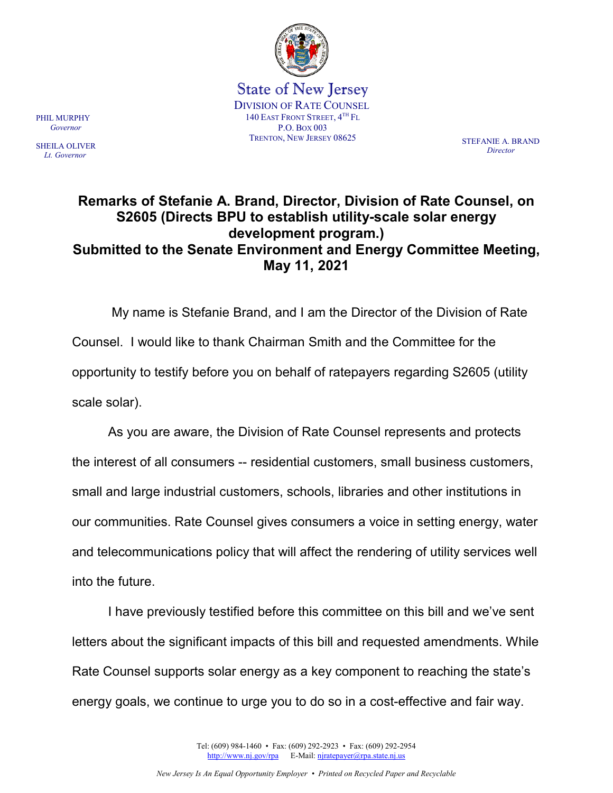

State of New Jersey DIVISION OF RATE COUNSEL 140 EAST FRONT STREET, 4TH FL P.O. BOX 003 TRENTON, NEW JERSEY 08625 STEFANIE A. BRAND

*Director*

## **Remarks of Stefanie A. Brand, Director, Division of Rate Counsel, on S2605 (Directs BPU to establish utility-scale solar energy development program.) Submitted to the Senate Environment and Energy Committee Meeting, May 11, 2021**

My name is Stefanie Brand, and I am the Director of the Division of Rate Counsel. I would like to thank Chairman Smith and the Committee for the opportunity to testify before you on behalf of ratepayers regarding S2605 (utility scale solar).

As you are aware, the Division of Rate Counsel represents and protects the interest of all consumers -- residential customers, small business customers, small and large industrial customers, schools, libraries and other institutions in our communities. Rate Counsel gives consumers a voice in setting energy, water and telecommunications policy that will affect the rendering of utility services well into the future.

I have previously testified before this committee on this bill and we've sent letters about the significant impacts of this bill and requested amendments. While Rate Counsel supports solar energy as a key component to reaching the state's energy goals, we continue to urge you to do so in a cost-effective and fair way.

> Tel: (609) 984-1460 • Fax: (609) 292-2923 • Fax: (609) 292-2954 [http://www.nj.gov/rpa](http://www.state.nj.us/publicadvocate/utility) E-Mail[: njratepayer@rpa.state.nj.us](mailto:njratepayer@rpa.state.nj.us)

PHIL MURPHY  *Governor*

SHEILA OLIVER  *Lt. Governor*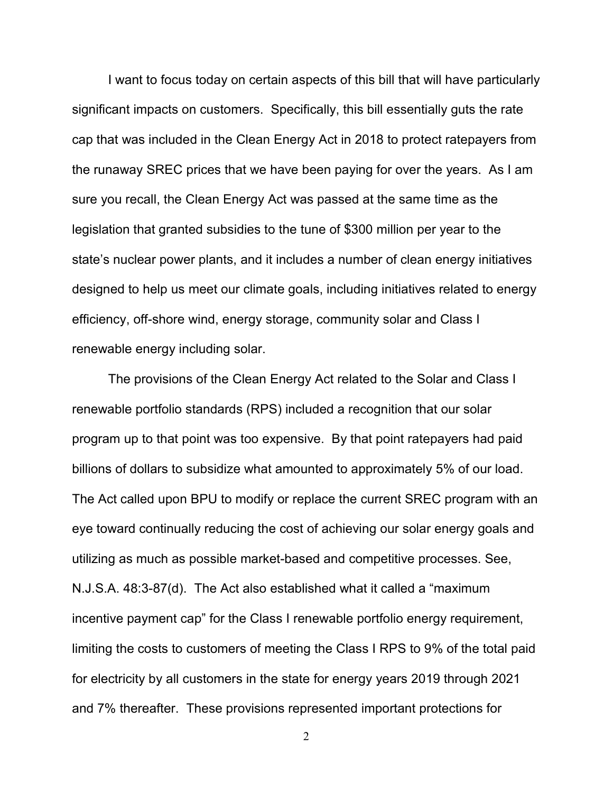I want to focus today on certain aspects of this bill that will have particularly significant impacts on customers. Specifically, this bill essentially guts the rate cap that was included in the Clean Energy Act in 2018 to protect ratepayers from the runaway SREC prices that we have been paying for over the years. As I am sure you recall, the Clean Energy Act was passed at the same time as the legislation that granted subsidies to the tune of \$300 million per year to the state's nuclear power plants, and it includes a number of clean energy initiatives designed to help us meet our climate goals, including initiatives related to energy efficiency, off-shore wind, energy storage, community solar and Class I renewable energy including solar.

The provisions of the Clean Energy Act related to the Solar and Class I renewable portfolio standards (RPS) included a recognition that our solar program up to that point was too expensive. By that point ratepayers had paid billions of dollars to subsidize what amounted to approximately 5% of our load. The Act called upon BPU to modify or replace the current SREC program with an eye toward continually reducing the cost of achieving our solar energy goals and utilizing as much as possible market-based and competitive processes. See, N.J.S.A. 48:3-87(d). The Act also established what it called a "maximum incentive payment cap" for the Class I renewable portfolio energy requirement, limiting the costs to customers of meeting the Class I RPS to 9% of the total paid for electricity by all customers in the state for energy years 2019 through 2021 and 7% thereafter. These provisions represented important protections for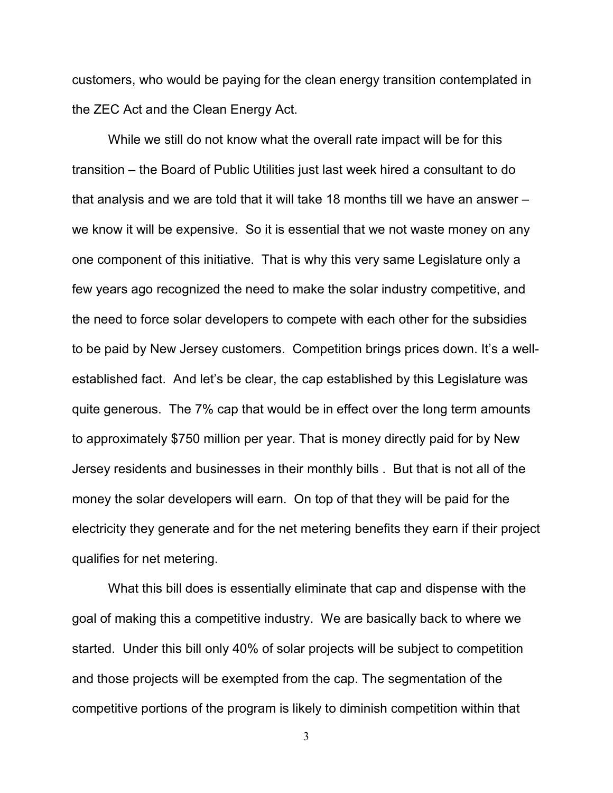customers, who would be paying for the clean energy transition contemplated in the ZEC Act and the Clean Energy Act.

While we still do not know what the overall rate impact will be for this transition – the Board of Public Utilities just last week hired a consultant to do that analysis and we are told that it will take 18 months till we have an answer – we know it will be expensive. So it is essential that we not waste money on any one component of this initiative. That is why this very same Legislature only a few years ago recognized the need to make the solar industry competitive, and the need to force solar developers to compete with each other for the subsidies to be paid by New Jersey customers. Competition brings prices down. It's a wellestablished fact. And let's be clear, the cap established by this Legislature was quite generous. The 7% cap that would be in effect over the long term amounts to approximately \$750 million per year. That is money directly paid for by New Jersey residents and businesses in their monthly bills . But that is not all of the money the solar developers will earn. On top of that they will be paid for the electricity they generate and for the net metering benefits they earn if their project qualifies for net metering.

What this bill does is essentially eliminate that cap and dispense with the goal of making this a competitive industry. We are basically back to where we started. Under this bill only 40% of solar projects will be subject to competition and those projects will be exempted from the cap. The segmentation of the competitive portions of the program is likely to diminish competition within that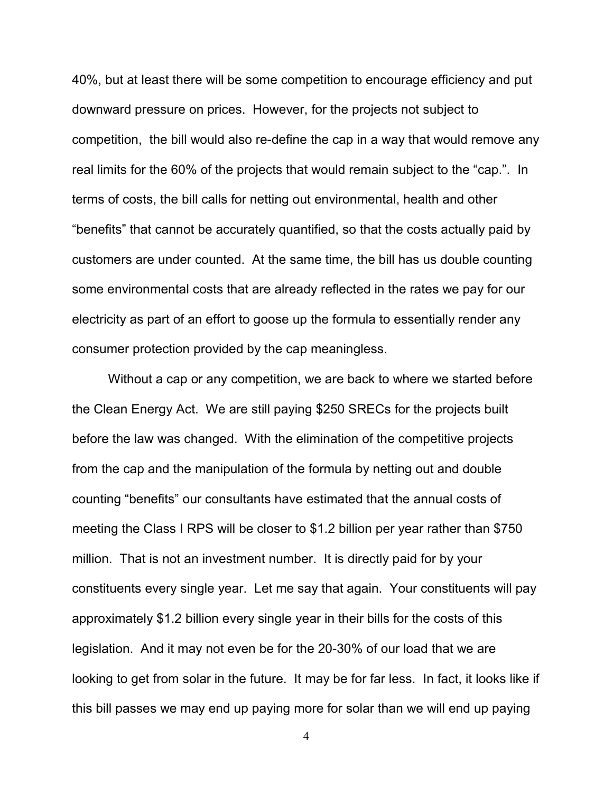40%, but at least there will be some competition to encourage efficiency and put downward pressure on prices. However, for the projects not subject to competition, the bill would also re-define the cap in a way that would remove any real limits for the 60% of the projects that would remain subject to the "cap.". In terms of costs, the bill calls for netting out environmental, health and other "benefits" that cannot be accurately quantified, so that the costs actually paid by customers are under counted. At the same time, the bill has us double counting some environmental costs that are already reflected in the rates we pay for our electricity as part of an effort to goose up the formula to essentially render any consumer protection provided by the cap meaningless.

Without a cap or any competition, we are back to where we started before the Clean Energy Act. We are still paying \$250 SRECs for the projects built before the law was changed. With the elimination of the competitive projects from the cap and the manipulation of the formula by netting out and double counting "benefits" our consultants have estimated that the annual costs of meeting the Class I RPS will be closer to \$1.2 billion per year rather than \$750 million. That is not an investment number. It is directly paid for by your constituents every single year. Let me say that again. Your constituents will pay approximately \$1.2 billion every single year in their bills for the costs of this legislation. And it may not even be for the 20-30% of our load that we are looking to get from solar in the future. It may be for far less. In fact, it looks like if this bill passes we may end up paying more for solar than we will end up paying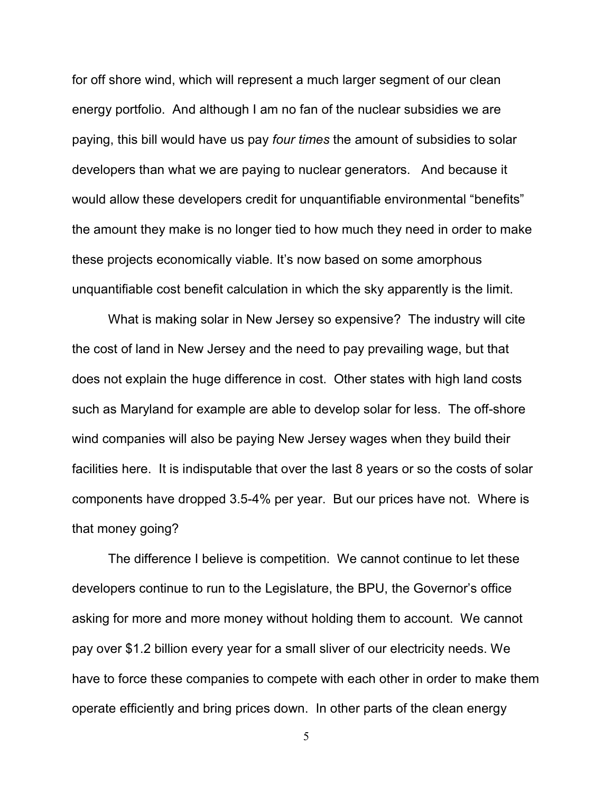for off shore wind, which will represent a much larger segment of our clean energy portfolio. And although I am no fan of the nuclear subsidies we are paying, this bill would have us pay *four times* the amount of subsidies to solar developers than what we are paying to nuclear generators. And because it would allow these developers credit for unquantifiable environmental "benefits" the amount they make is no longer tied to how much they need in order to make these projects economically viable. It's now based on some amorphous unquantifiable cost benefit calculation in which the sky apparently is the limit.

What is making solar in New Jersey so expensive? The industry will cite the cost of land in New Jersey and the need to pay prevailing wage, but that does not explain the huge difference in cost. Other states with high land costs such as Maryland for example are able to develop solar for less. The off-shore wind companies will also be paying New Jersey wages when they build their facilities here. It is indisputable that over the last 8 years or so the costs of solar components have dropped 3.5-4% per year. But our prices have not. Where is that money going?

The difference I believe is competition. We cannot continue to let these developers continue to run to the Legislature, the BPU, the Governor's office asking for more and more money without holding them to account. We cannot pay over \$1.2 billion every year for a small sliver of our electricity needs. We have to force these companies to compete with each other in order to make them operate efficiently and bring prices down. In other parts of the clean energy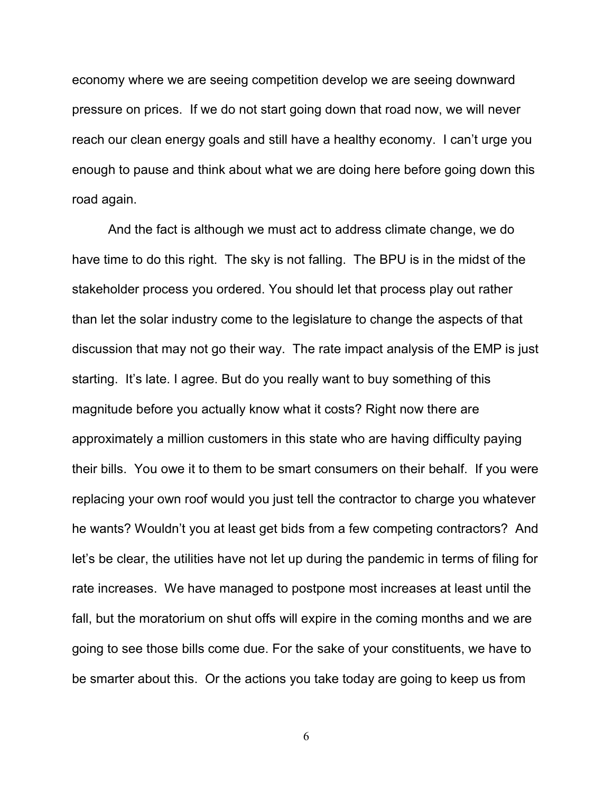economy where we are seeing competition develop we are seeing downward pressure on prices. If we do not start going down that road now, we will never reach our clean energy goals and still have a healthy economy. I can't urge you enough to pause and think about what we are doing here before going down this road again.

And the fact is although we must act to address climate change, we do have time to do this right. The sky is not falling. The BPU is in the midst of the stakeholder process you ordered. You should let that process play out rather than let the solar industry come to the legislature to change the aspects of that discussion that may not go their way. The rate impact analysis of the EMP is just starting. It's late. I agree. But do you really want to buy something of this magnitude before you actually know what it costs? Right now there are approximately a million customers in this state who are having difficulty paying their bills. You owe it to them to be smart consumers on their behalf. If you were replacing your own roof would you just tell the contractor to charge you whatever he wants? Wouldn't you at least get bids from a few competing contractors? And let's be clear, the utilities have not let up during the pandemic in terms of filing for rate increases. We have managed to postpone most increases at least until the fall, but the moratorium on shut offs will expire in the coming months and we are going to see those bills come due. For the sake of your constituents, we have to be smarter about this. Or the actions you take today are going to keep us from